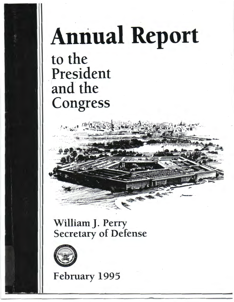## **Annual Report** to the President and the Congress

## William J. Perry **Secretary of Defense**



February 1995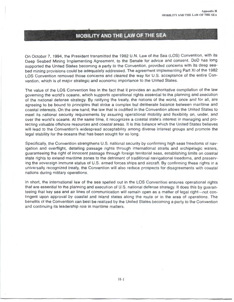## **MOBILITY AND THE LAW OF THE SEA**

On October 7, 1994, the President transmitted the 1982 U.N. Law of the Sea (LOS) Convention , with its Deep Seabed Mining Implementing Agreement, to the Senate for advice and consent. DoD has long supported the United States becoming a party to the Convention, provided concerns with its deep seabed mining provisions could be adequately addressed. The agreement implementing Part XI of the 1982 LOS Convention removed those concerns and cleared the way for U.S. acceptance of the entire Convention, which is of major strategic and economic importance to the United States.

The value of the LOS Convention lies in the fact that it provides an authoritative compilation of the law governing the world's oceans, which supports operational rights essential to the planning and execution of the national defense strategy. By ratifying the treaty, the nations of the world, once and for all, are agreeing to be bound to principles that strike a complex but deliberate balance between maritime and coastal interests. On the one hand, the law that is codified in the Convention allows the United States to meet its national security requirements by assuring operational mobility and flexibility on, under, and over the world's oceans. At the same time, it recognizes a coastal state's interest in managing and protecting valuable offshore resources and coastal areas . It is this balance which the United States believes will lead to the Convention's widespread acceptability among diverse interest groups and promote the legal stability for the oceans that has been sought for so long.

Specifically, the Convention strengthens U.S. national security by confirming high seas freedoms of navigation and overflight, detailing passage rights through international straits and archipelagic waters, guaranteeing the right of innocent passage through foreign territorial seas , establishing limits on coastal state rights to extend maritime zones to the detriment of traditional navigational freedoms, and preserving the sovereign immune status of U.S. armed forces ships and aircraft. By confirming these rights in a universally recognized treaty, the Convention will also reduce prospects for disagreements with coastal nations during military operations.

In short, the international law of the sea spelled out in the LOS Convention ensures operational rights that are essential to the planning and execution of U.S. national defense strategy. It does this by guaranteeing that key sea and air lines of communication will remain open as a matter of legal right-not contingent upon approval by coastal and island states along the route or in the area of operations . The benefits of the Convention can best be realized by the United States becoming a party to the Convention and continuing its leadership role in maritime matters.